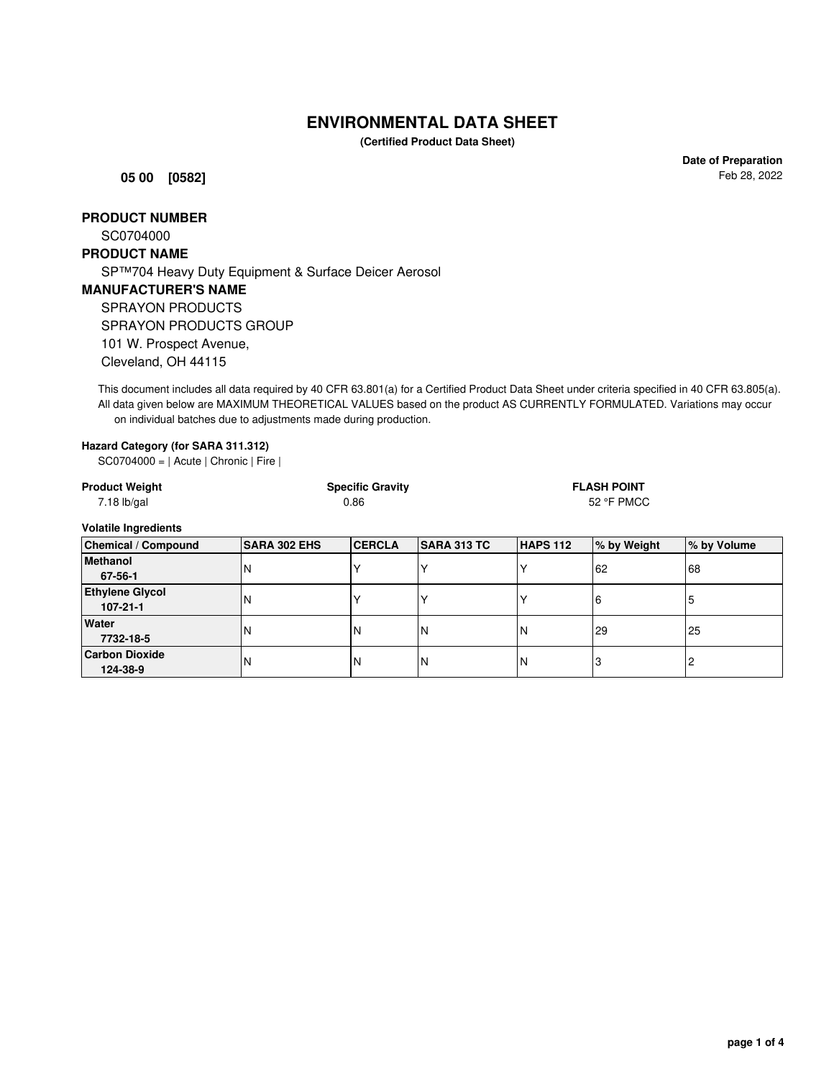# **ENVIRONMENTAL DATA SHEET**

**(Certified Product Data Sheet)**

**05 00 [0582]**

**Date of Preparation** Feb 28, 2022

## **PRODUCT NUMBER**

SC0704000

### **PRODUCT NAME**

**Carbon Dioxide**

SP™704 Heavy Duty Equipment & Surface Deicer Aerosol

### **MANUFACTURER'S NAME**

SPRAYON PRODUCTS SPRAYON PRODUCTS GROUP

101 W. Prospect Avenue,

Cleveland, OH 44115

This document includes all data required by 40 CFR 63.801(a) for a Certified Product Data Sheet under criteria specified in 40 CFR 63.805(a). All data given below are MAXIMUM THEORETICAL VALUES based on the product AS CURRENTLY FORMULATED. Variations may occur on individual batches due to adjustments made during production.

#### **Hazard Category (for SARA 311.312)**

SC0704000 = | Acute | Chronic | Fire |

| <b>Product Weight</b><br>$7.18$ lb/gal |                     | <b>Specific Gravity</b><br>0.86 |                    |          | <b>FLASH POINT</b><br>52 °F PMCC |             |  |
|----------------------------------------|---------------------|---------------------------------|--------------------|----------|----------------------------------|-------------|--|
| <b>Volatile Ingredients</b>            |                     |                                 |                    |          |                                  |             |  |
| <b>Chemical / Compound</b>             | <b>SARA 302 EHS</b> | <b>CERCLA</b>                   | <b>SARA 313 TC</b> | HAPS 112 | % by Weight                      | % by Volume |  |
| <b>Methanol</b>                        | IN                  |                                 |                    |          | 62                               | 68          |  |
| 67-56-1                                |                     |                                 |                    |          |                                  |             |  |
| <b>Ethylene Glycol</b>                 | N                   |                                 |                    |          | 16                               | 5           |  |
| $107 - 21 - 1$                         |                     |                                 |                    |          |                                  |             |  |
| Water                                  | N                   | IN                              | N                  | N        | 29                               | 25          |  |
| 7732-18-5                              |                     |                                 |                    |          |                                  |             |  |

**124-38-9** N N N N 3 2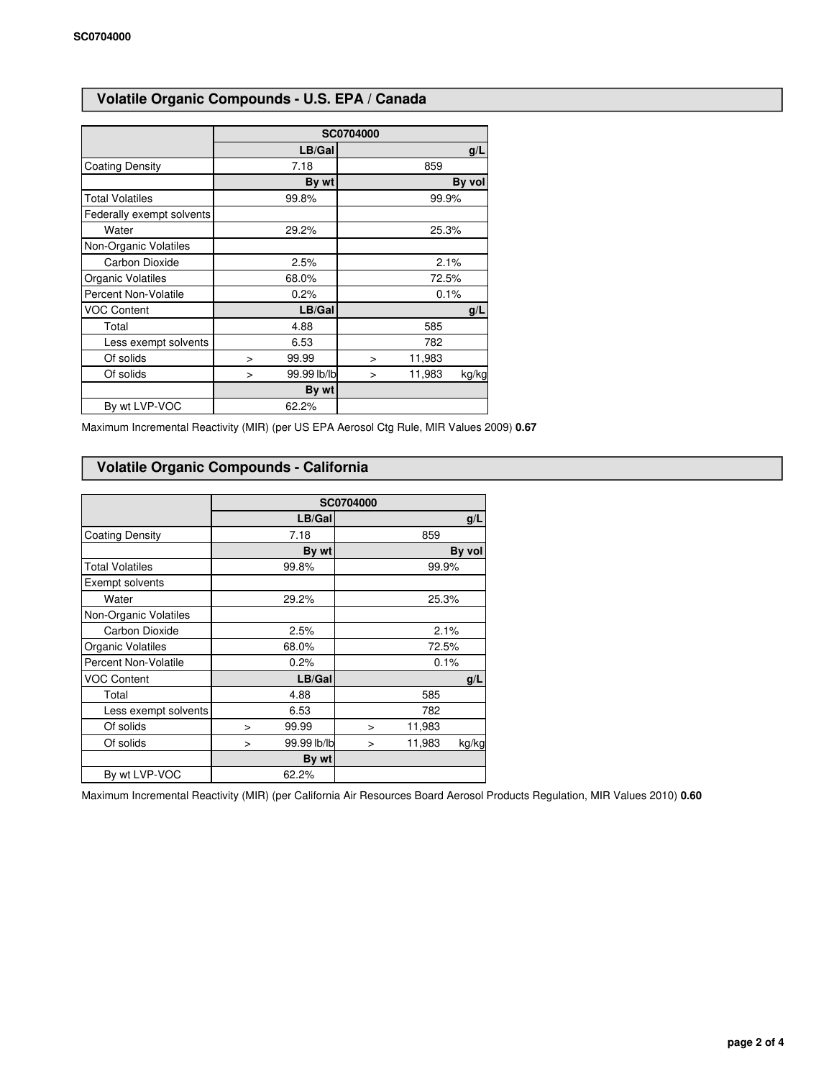# **Volatile Organic Compounds - U.S. EPA / Canada**

|                           | SC0704000             |                           |  |  |  |
|---------------------------|-----------------------|---------------------------|--|--|--|
|                           | LB/Gal                | g/L                       |  |  |  |
| <b>Coating Density</b>    | 7.18                  | 859                       |  |  |  |
|                           | By wt                 | By vol                    |  |  |  |
| <b>Total Volatiles</b>    | 99.8%                 | 99.9%                     |  |  |  |
| Federally exempt solvents |                       |                           |  |  |  |
| Water                     | 29.2%                 | 25.3%                     |  |  |  |
| Non-Organic Volatiles     |                       |                           |  |  |  |
| Carbon Dioxide            | 2.5%                  | 2.1%                      |  |  |  |
| Organic Volatiles         | 68.0%                 | 72.5%                     |  |  |  |
| Percent Non-Volatile      | 0.2%                  | 0.1%                      |  |  |  |
| <b>VOC Content</b>        | LB/Gal                | g/L                       |  |  |  |
| Total                     | 4.88                  | 585                       |  |  |  |
| Less exempt solvents      | 6.53                  | 782                       |  |  |  |
| Of solids                 | 99.99<br>$\geq$       | 11,983<br>$\geq$          |  |  |  |
| Of solids                 | 99.99 lb/lb<br>$\geq$ | 11,983<br>kg/kg<br>$\geq$ |  |  |  |
|                           | By wt                 |                           |  |  |  |
| By wt LVP-VOC             | 62.2%                 |                           |  |  |  |

Maximum Incremental Reactivity (MIR) (per US EPA Aerosol Ctg Rule, MIR Values 2009) **0.67**

# **Volatile Organic Compounds - California**

|                        | SC0704000 |             |        |        |        |
|------------------------|-----------|-------------|--------|--------|--------|
|                        |           | LB/Gal      |        |        | g/L    |
| <b>Coating Density</b> |           | 7.18        |        | 859    |        |
|                        |           | By wt       |        |        | By vol |
| <b>Total Volatiles</b> |           | 99.8%       |        | 99.9%  |        |
| Exempt solvents        |           |             |        |        |        |
| Water                  |           | 29.2%       |        | 25.3%  |        |
| Non-Organic Volatiles  |           |             |        |        |        |
| Carbon Dioxide         |           | 2.5%        | 2.1%   |        |        |
| Organic Volatiles      |           | 68.0%       | 72.5%  |        |        |
| Percent Non-Volatile   |           | 0.2%        | 0.1%   |        |        |
| <b>VOC Content</b>     |           | LB/Gal      |        |        | g/L    |
| Total                  |           | 4.88        |        | 585    |        |
| Less exempt solvents   |           | 6.53        |        | 782    |        |
| Of solids              | $\geq$    | 99.99       | >      | 11,983 |        |
| Of solids              | >         | 99.99 lb/lb | $\geq$ | 11,983 | kg/kg  |
|                        |           | By wt       |        |        |        |
| By wt LVP-VOC          |           | 62.2%       |        |        |        |

Maximum Incremental Reactivity (MIR) (per California Air Resources Board Aerosol Products Regulation, MIR Values 2010) **0.60**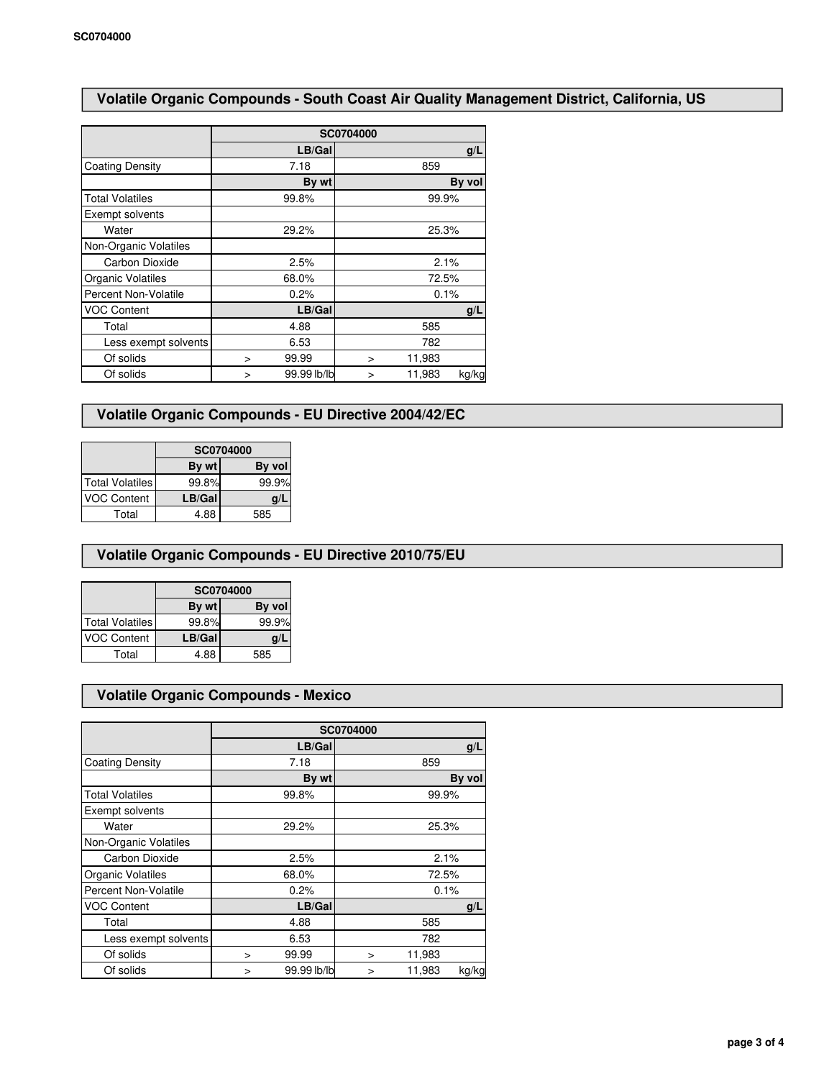# **Volatile Organic Compounds - South Coast Air Quality Management District, California, US**

|                        | SC0704000 |             |       |        |        |  |
|------------------------|-----------|-------------|-------|--------|--------|--|
|                        |           | LB/Gal      |       |        | g/L    |  |
| <b>Coating Density</b> |           | 7.18        |       | 859    |        |  |
|                        |           | By wt       |       |        | By vol |  |
| <b>Total Volatiles</b> |           | 99.8%       |       |        | 99.9%  |  |
| Exempt solvents        |           |             |       |        |        |  |
| Water                  |           | 29.2%       |       |        | 25.3%  |  |
| Non-Organic Volatiles  |           |             |       |        |        |  |
| Carbon Dioxide         |           | 2.5%        | 2.1%  |        |        |  |
| Organic Volatiles      |           | 68.0%       | 72.5% |        |        |  |
| Percent Non-Volatile   |           | 0.2%        | 0.1%  |        |        |  |
| <b>VOC Content</b>     |           | LB/Gal      |       |        | g/L    |  |
| Total                  |           | 4.88        |       | 585    |        |  |
| Less exempt solvents   |           | 6.53        |       | 782    |        |  |
| Of solids              | $\geq$    | 99.99       | ⋗     | 11,983 |        |  |
| Of solids              | >         | 99.99 lb/lb | >     | 11,983 | kg/kg  |  |

## **Volatile Organic Compounds - EU Directive 2004/42/EC**

|                        | SC0704000 |        |  |
|------------------------|-----------|--------|--|
|                        | By wt     | By vol |  |
| <b>Total Volatiles</b> | 99.8%     | 99.9%  |  |
| <b>VOC Content</b>     | LB/Gal    | g/l    |  |
| Total                  | 4.88      | 585    |  |

## **Volatile Organic Compounds - EU Directive 2010/75/EU**

|                    | SC0704000 |         |  |
|--------------------|-----------|---------|--|
|                    | By wt     | By voll |  |
| Total Volatiles    | 99.8%     | 99.9%   |  |
| <b>VOC Content</b> | LB/Gal    | g/      |  |
| Total              | 4.88      | 585     |  |

## **Volatile Organic Compounds - Mexico**

|                        | SC0704000 |             |        |        |        |
|------------------------|-----------|-------------|--------|--------|--------|
|                        |           | LB/Gal      |        |        | g/L    |
| <b>Coating Density</b> |           | 7.18        |        | 859    |        |
|                        |           | By wt       |        |        | By vol |
| <b>Total Volatiles</b> |           | 99.8%       |        | 99.9%  |        |
| Exempt solvents        |           |             |        |        |        |
| Water                  |           | 29.2%       | 25.3%  |        |        |
| Non-Organic Volatiles  |           |             |        |        |        |
| Carbon Dioxide         |           | 2.5%        | 2.1%   |        |        |
| Organic Volatiles      |           | 68.0%       | 72.5%  |        |        |
| Percent Non-Volatile   |           | 0.2%        | 0.1%   |        |        |
| <b>VOC Content</b>     |           | LB/Gal      |        |        | g/L    |
| Total                  |           | 4.88        |        | 585    |        |
| Less exempt solvents   |           | 6.53        |        | 782    |        |
| Of solids              | ⋗         | 99.99       | ⋗      | 11,983 |        |
| Of solids              | >         | 99.99 lb/lb | $\geq$ | 11,983 | kg/kg  |